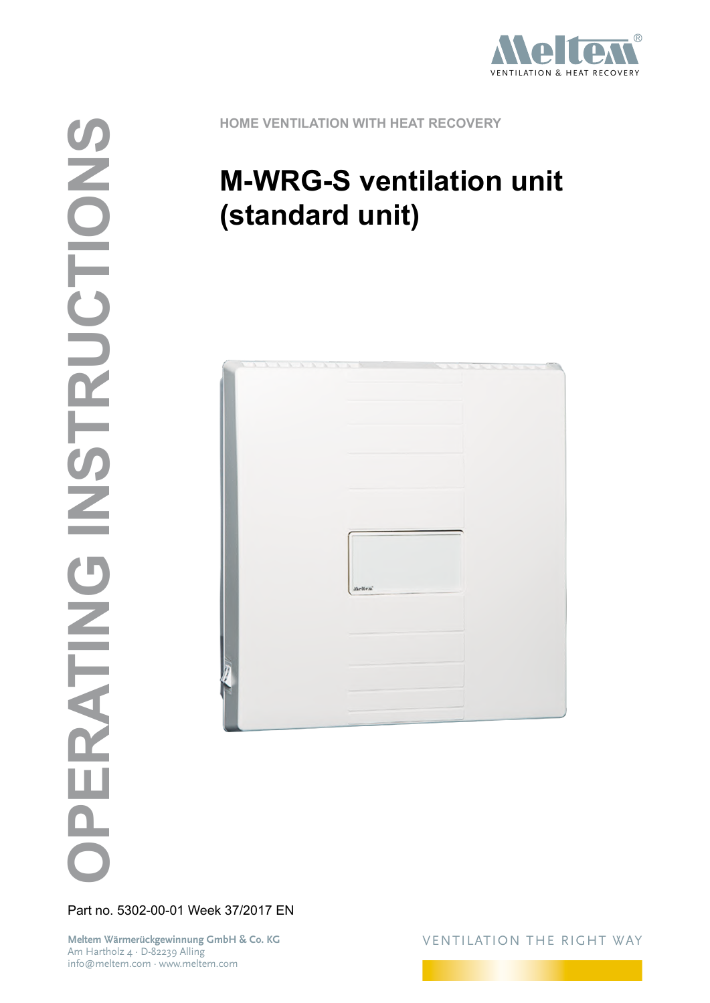

**HOME VENTILATION WITH HEAT RECOVERY**

# **M-WRG-S ventilation unit (standard unit)**



Part no. 5302-00-01 Week 37/2017 EN

**Meltem Wärmerückgewinnung GmbH & Co. KG** Am Hartholz 4 · D-82239 Alling info@meltem.com · www.meltem.com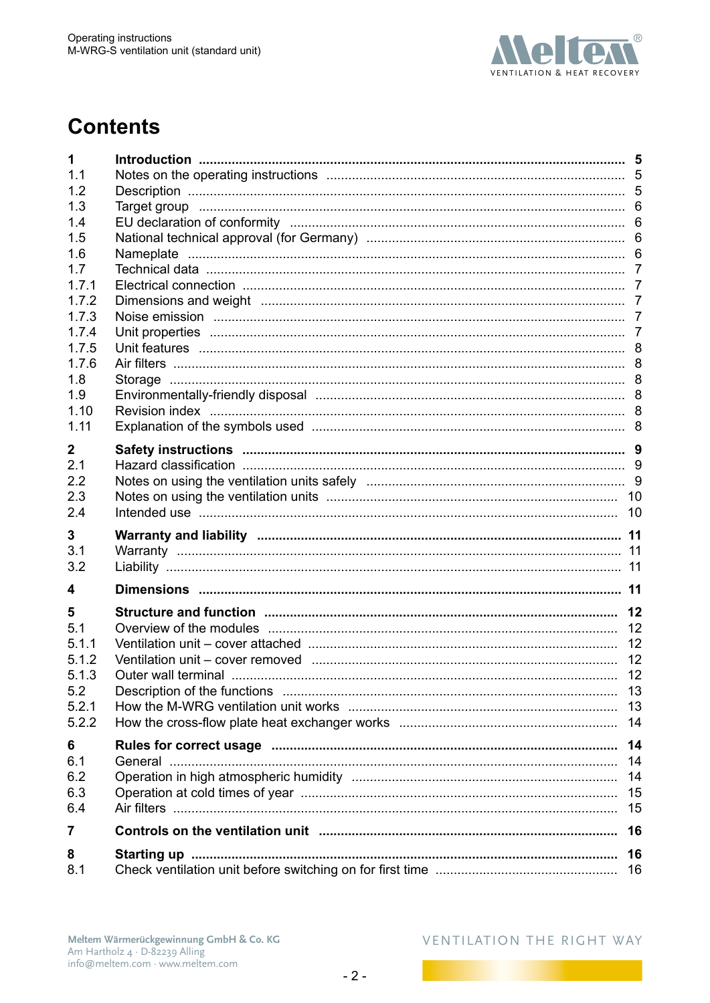

### **Contents**

| 1     |          |
|-------|----------|
| 1.1   |          |
| 1.2   |          |
| 1.3   |          |
| 1.4   |          |
| 1.5   |          |
| 1.6   |          |
| 1.7   |          |
| 1.7.1 |          |
| 172   |          |
| 1.7.3 |          |
| 1.7.4 |          |
| 1.7.5 |          |
| 1.7.6 |          |
| 1.8   |          |
| 1.9   |          |
| 1.10  |          |
| 1.11  |          |
|       |          |
| 2     |          |
| 2.1   |          |
| 2.2   |          |
| 2.3   |          |
| 2.4   |          |
| 3     |          |
| 3.1   |          |
|       |          |
|       |          |
| 3.2   |          |
| 4     |          |
| 5     |          |
| 5.1   |          |
| 5.1.1 |          |
| 5.1.2 |          |
| 5.1.3 |          |
|       |          |
| 5.2   | 13       |
| 5.2.1 | 13<br>14 |
| 5.2.2 |          |
| 6     | 14       |
| 6.1   | 14       |
| 6.2   | 14       |
| 6.3   | 15       |
| 6.4   | 15       |
| 7     | 16       |
| 8     | 16       |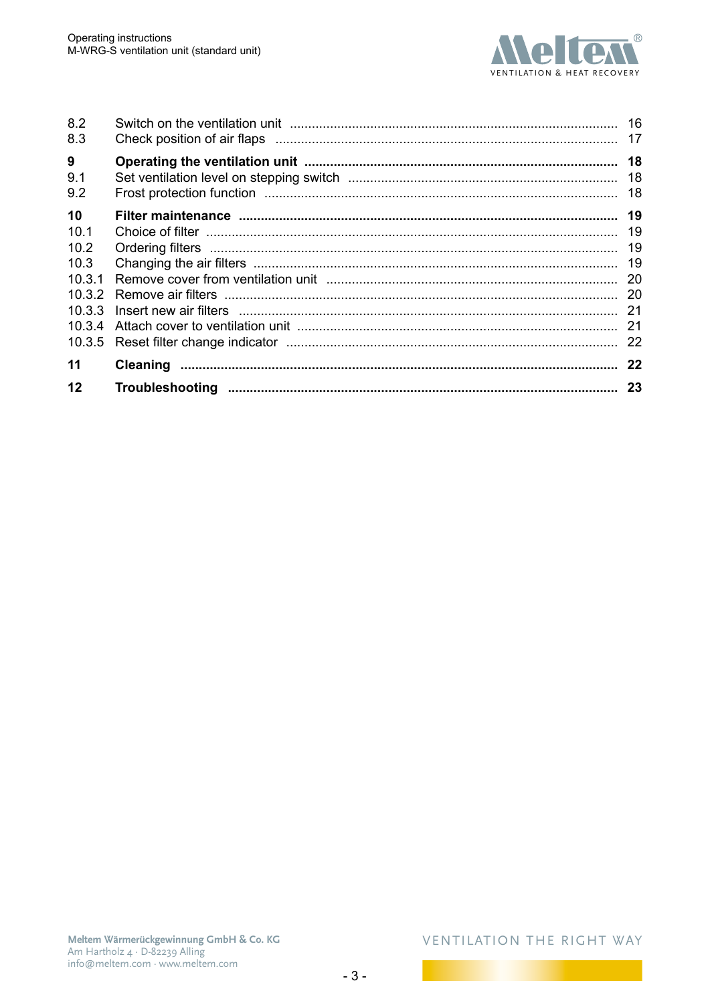

| 8.2<br>8.3      |  |
|-----------------|--|
| 9<br>9.1<br>9.2 |  |
| 10              |  |
| 10.1            |  |
| 10.2            |  |
| 10.3            |  |
| 10.3.1          |  |
| 10.3.2          |  |
| 10.3.3          |  |
| 10.34           |  |
| 10.3.5          |  |
| 11              |  |
| 12              |  |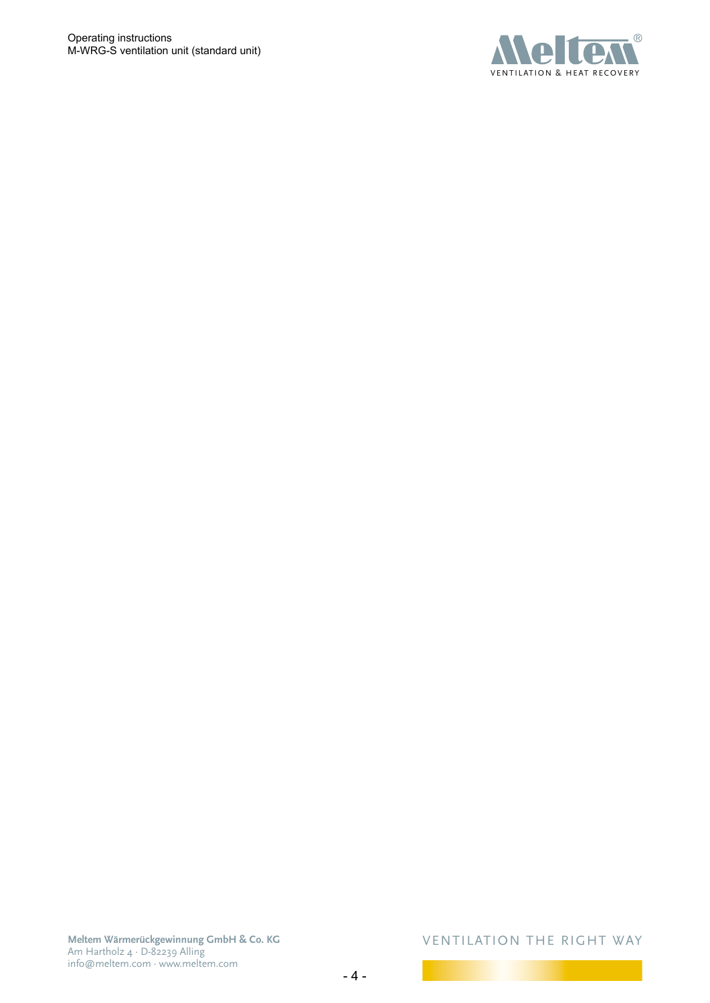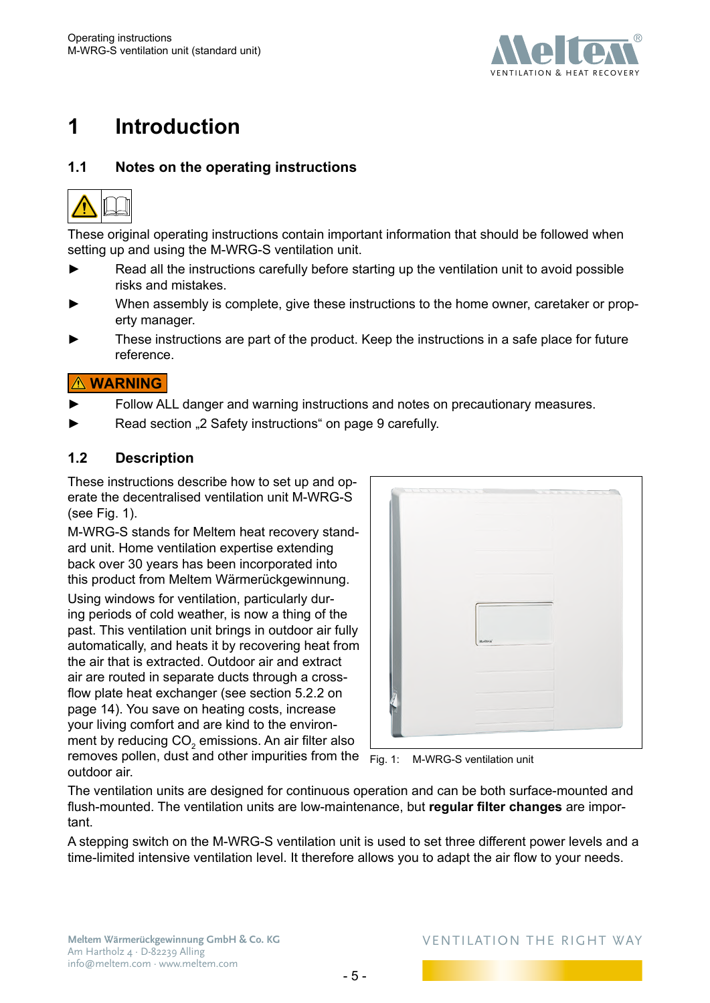

### <span id="page-4-0"></span>**1 Introduction**

#### **1.1 Notes on the operating instructions**



These original operating instructions contain important information that should be followed when setting up and using the M-WRG-S ventilation unit.

- ► Read all the instructions carefully before starting up the ventilation unit to avoid possible risks and mistakes.
- When assembly is complete, give these instructions to the home owner, caretaker or property manager.
- These instructions are part of the product. Keep the instructions in a safe place for future reference.

#### **WARNING**

- Follow ALL danger and warning instructions and notes on precautionary measures.
- Read section ["2 Safety instructions" on page](#page-8-1) 9 carefully.

#### **1.2 Description**

These instructions describe how to set up and operate the decentralised ventilation unit M-WRG-S (see [Fig.](#page-4-1) 1).

M-WRG-S stands for Meltem heat recovery standard unit. Home ventilation expertise extending back over 30 years has been incorporated into this product from Meltem Wärmerückgewinnung.

Using windows for ventilation, particularly during periods of cold weather, is now a thing of the past. This ventilation unit brings in outdoor air fully automatically, and heats it by recovering heat from the air that is extracted. Outdoor air and extract air are routed in separate ducts through a crossflow plate heat exchanger (see section [5.2.2](#page-13-1) on [page](#page-13-1) 14). You save on heating costs, increase your living comfort and are kind to the environment by reducing CO<sub>2</sub> emissions. An air filter also removes pollen, dust and other impurities from the Fig. 1: M-WRG-S ventilation unit outdoor air.

<span id="page-4-1"></span>

The ventilation units are designed for continuous operation and can be both surface-mounted and flush-mounted. The ventilation units are low-maintenance, but **regular filter changes** are important.

A stepping switch on the M-WRG-S ventilation unit is used to set three different power levels and a time-limited intensive ventilation level. It therefore allows you to adapt the air flow to your needs.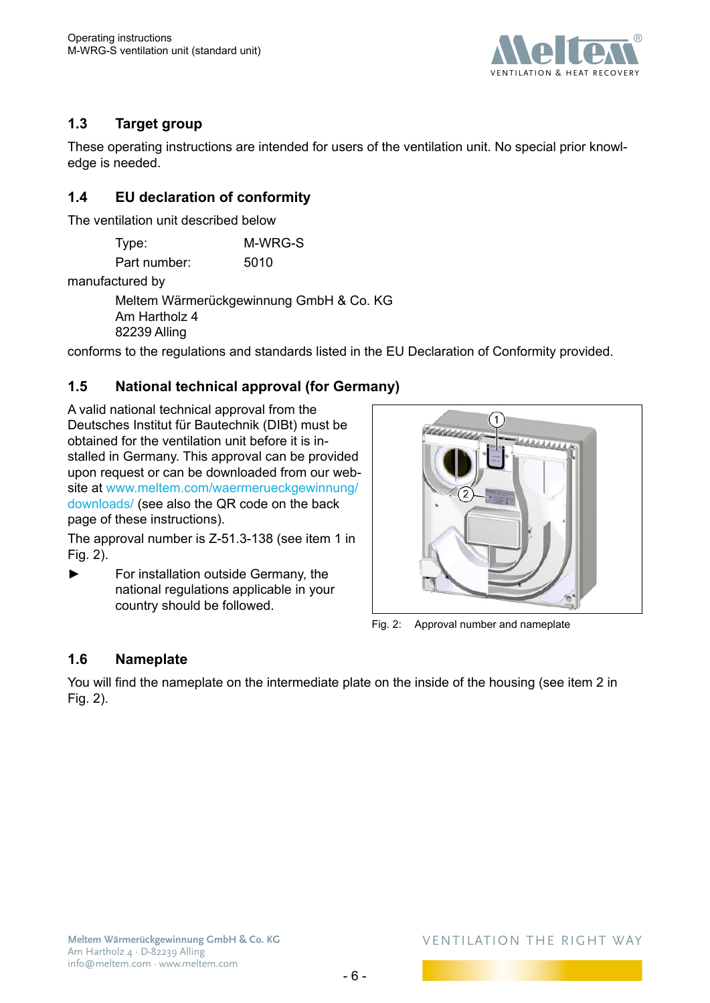

#### <span id="page-5-0"></span>**1.3 Target group**

These operating instructions are intended for users of the ventilation unit. No special prior knowledge is needed.

#### **1.4 EU declaration of conformity**

The ventilation unit described below

| Type:        | M-WRG-S |
|--------------|---------|
| Part number: | 5010    |

manufactured by

Meltem Wärmerückgewinnung GmbH & Co. KG Am Hartholz 4 82239 Alling

conforms to the regulations and standards listed in the EU Declaration of Conformity provided.

#### **1.5 National technical approval (for Germany)**

A valid national technical approval from the Deutsches Institut für Bautechnik (DIBt) must be obtained for the ventilation unit before it is installed in Germany. This approval can be provided upon request or can be downloaded from our website at [www.meltem.com/waermerueckgewinnung/](http://www.meltem.com/waermerueckgewinnung/downloads/) [downloads/](http://www.meltem.com/waermerueckgewinnung/downloads/) (see also the QR code on the back page of these instructions).

The approval number is Z-51.3-138 (see item 1 in [Fig.](#page-5-1) 2).

► For installation outside Germany, the national regulations applicable in your country should be followed.

<span id="page-5-1"></span>

Fig. 2: Approval number and nameplate

#### **1.6 Nameplate**

You will find the nameplate on the intermediate plate on the inside of the housing (see item 2 in [Fig.](#page-5-1) 2).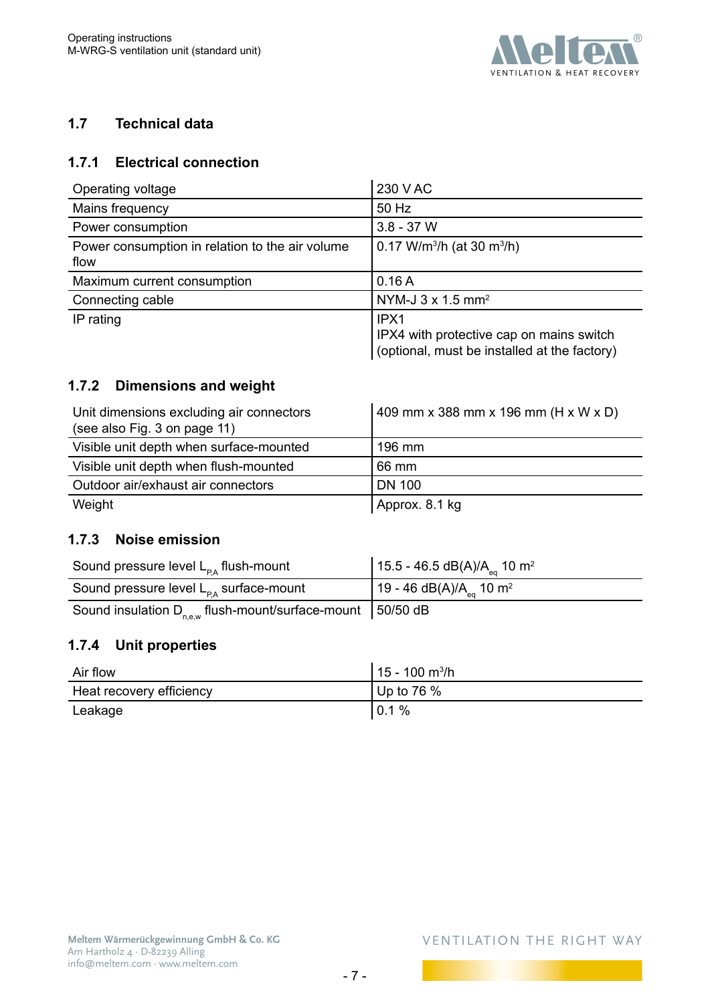

### <span id="page-6-0"></span>**1.7 Technical data**

#### **1.7.1 Electrical connection**

| Operating voltage                                       | 230 V AC                                                                                         |
|---------------------------------------------------------|--------------------------------------------------------------------------------------------------|
| Mains frequency                                         | 50 Hz                                                                                            |
| Power consumption                                       | $3.8 - 37 W$                                                                                     |
| Power consumption in relation to the air volume<br>flow | 0.17 W/m <sup>3</sup> /h (at 30 m <sup>3</sup> /h)                                               |
| Maximum current consumption                             | 0.16A                                                                                            |
| Connecting cable                                        | NYM-J 3 x 1.5 mm <sup>2</sup>                                                                    |
| IP rating                                               | IPX1<br>IPX4 with protective cap on mains switch<br>(optional, must be installed at the factory) |

#### **1.7.2 Dimensions and weight**

| Unit dimensions excluding air connectors<br>(see also Fig. 3 on page 11) | 409 mm x 388 mm x 196 mm (H x W x D) |
|--------------------------------------------------------------------------|--------------------------------------|
| Visible unit depth when surface-mounted                                  | 196 mm                               |
| Visible unit depth when flush-mounted                                    | 66 mm                                |
| Outdoor air/exhaust air connectors                                       | <b>DN 100</b>                        |
| Weight                                                                   | Approx. 8.1 kg                       |

#### **1.7.3 Noise emission**

| Sound pressure level $L_{p_A}$ flush-mount                              | 15.5 - 46.5 dB(A)/A $_{\rm eq}$ 10 m <sup>2</sup> |
|-------------------------------------------------------------------------|---------------------------------------------------|
| Sound pressure level $L_{p_A}$ surface-mount                            | 19 - 46 dB(A)/A <sub>eq</sub> 10 m <sup>2</sup>   |
| Sound insulation $D_{n,\text{ew}}$ flush-mount/surface-mount   50/50 dB |                                                   |

#### **1.7.4 Unit properties**

| Air flow                 | $15 - 100$ m <sup>3</sup> /h |
|--------------------------|------------------------------|
| Heat recovery efficiency | $Up$ to 76 %                 |
| Leakage                  | 10.1%                        |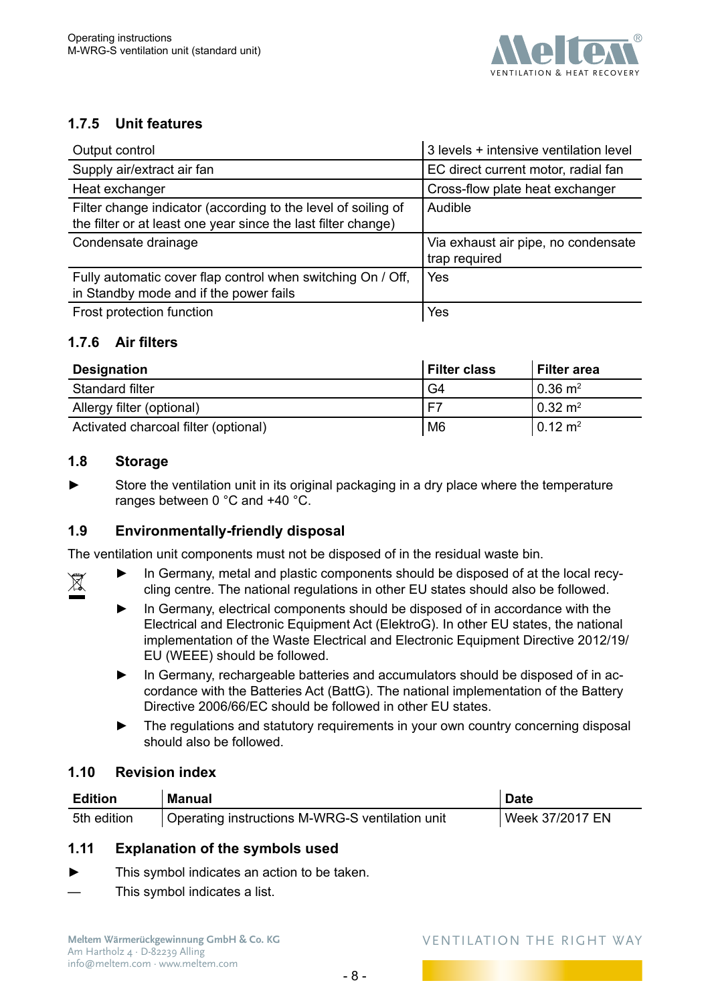

#### <span id="page-7-0"></span>**1.7.5 Unit features**

| Output control                                                                                                                 | 3 levels + intensive ventilation level               |
|--------------------------------------------------------------------------------------------------------------------------------|------------------------------------------------------|
| Supply air/extract air fan                                                                                                     | EC direct current motor, radial fan                  |
| Heat exchanger                                                                                                                 | Cross-flow plate heat exchanger                      |
| Filter change indicator (according to the level of soiling of<br>the filter or at least one year since the last filter change) | Audible                                              |
| Condensate drainage                                                                                                            | Via exhaust air pipe, no condensate<br>trap required |
| Fully automatic cover flap control when switching On / Off,<br>in Standby mode and if the power fails                          | Yes                                                  |
| Frost protection function                                                                                                      | Yes                                                  |

#### **1.7.6 Air filters**

| <b>Designation</b>                   | <b>Filter class</b> | Filter area         |
|--------------------------------------|---------------------|---------------------|
| Standard filter                      | G4                  | $10.36 \text{ m}^2$ |
| Allergy filter (optional)            | F7                  | $10.32 \text{ m}^2$ |
| Activated charcoal filter (optional) | M <sub>6</sub>      | $10.12 \text{ m}^2$ |

#### **1.8 Storage**

► Store the ventilation unit in its original packaging in a dry place where the temperature ranges between 0 °C and +40 °C.

#### **1.9 Environmentally-friendly disposal**

The ventilation unit components must not be disposed of in the residual waste bin.

 $\boxtimes$ 

- In Germany, metal and plastic components should be disposed of at the local recycling centre. The national regulations in other EU states should also be followed.
	- ► In Germany, electrical components should be disposed of in accordance with the Electrical and Electronic Equipment Act (ElektroG). In other EU states, the national implementation of the Waste Electrical and Electronic Equipment Directive 2012/19/ EU (WEEE) should be followed.
	- ► In Germany, rechargeable batteries and accumulators should be disposed of in accordance with the Batteries Act (BattG). The national implementation of the Battery Directive 2006/66/EC should be followed in other EU states.
	- ► The regulations and statutory requirements in your own country concerning disposal should also be followed.

#### **1.10 Revision index**

| <b>Edition</b> | Manual                                            | Date            |
|----------------|---------------------------------------------------|-----------------|
| 5th edition    | I Operating instructions M-WRG-S ventilation unit | Week 37/2017 EN |

#### **1.11 Explanation of the symbols used**

- This symbol indicates an action to be taken.
- This symbol indicates a list.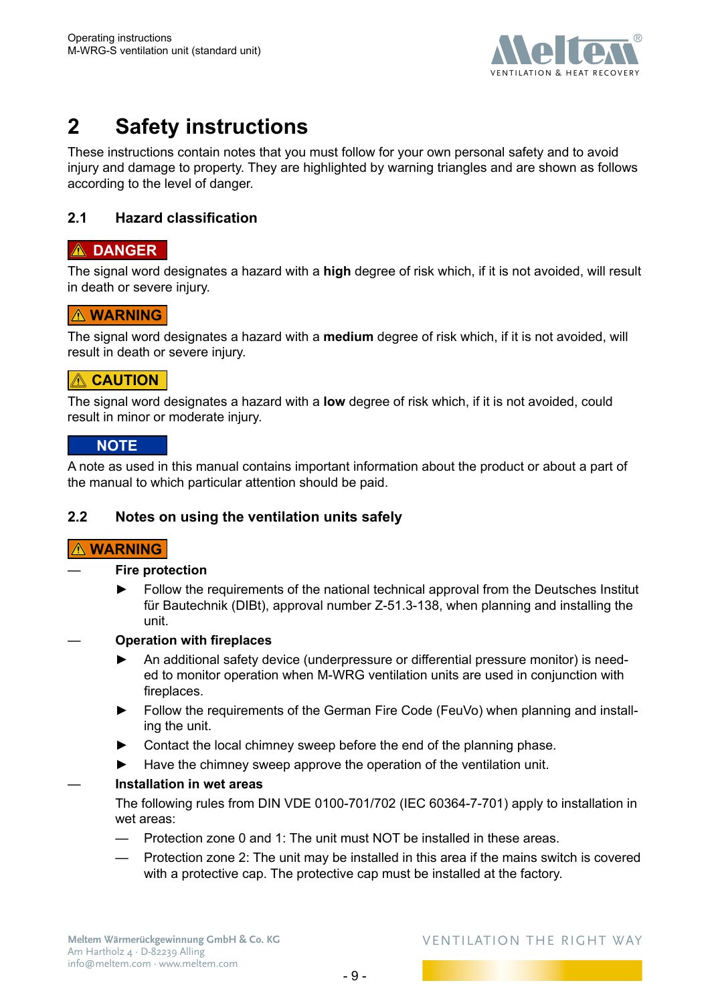

### <span id="page-8-1"></span><span id="page-8-0"></span>**2 Safety instructions**

These instructions contain notes that you must follow for your own personal safety and to avoid injury and damage to property. They are highlighted by warning triangles and are shown as follows according to the level of danger.

#### **2.1 Hazard classification**

#### $\blacktriangle$ **DANGER**

The signal word designates a hazard with a **high** degree of risk which, if it is not avoided, will result in death or severe injury.

#### **WARNING**

The signal word designates a hazard with a **medium** degree of risk which, if it is not avoided, will result in death or severe injury.

#### **CAUTION**

The signal word designates a hazard with a **low** degree of risk which, if it is not avoided, could result in minor or moderate injury.

#### **NOTE**

A note as used in this manual contains important information about the product or about a part of the manual to which particular attention should be paid.

#### **2.2 Notes on using the ventilation units safely**

#### **WARNING**

- **Fire protection**
	- ► Follow the requirements of the national technical approval from the Deutsches Institut für Bautechnik (DIBt), approval number Z-51.3-138, when planning and installing the unit.
- **Operation with fireplaces**
	- ► An additional safety device (underpressure or differential pressure monitor) is needed to monitor operation when M-WRG ventilation units are used in conjunction with fireplaces.
	- ► Follow the requirements of the German Fire Code (FeuVo) when planning and installing the unit.
	- Contact the local chimney sweep before the end of the planning phase.
	- Have the chimney sweep approve the operation of the ventilation unit.

#### — **Installation in wet areas**

The following rules from DIN VDE 0100-701/702 (IEC 60364-7-701) apply to installation in wet areas:

- Protection zone 0 and 1: The unit must NOT be installed in these areas.
- Protection zone 2: The unit may be installed in this area if the mains switch is covered with a protective cap. The protective cap must be installed at the factory.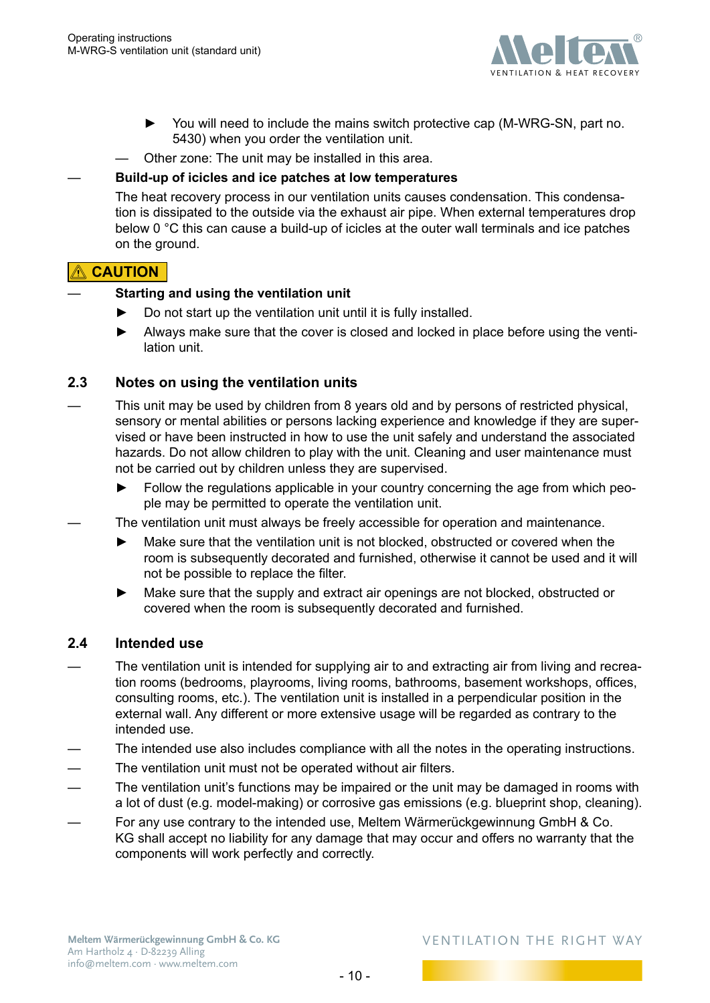

- ► You will need to include the mains switch protective cap (M-WRG-SN, part no. 5430) when you order the ventilation unit.
- Other zone: The unit may be installed in this area.

#### <span id="page-9-0"></span>— **Build-up of icicles and ice patches at low temperatures**

The heat recovery process in our ventilation units causes condensation. This condensation is dissipated to the outside via the exhaust air pipe. When external temperatures drop below 0 °C this can cause a build-up of icicles at the outer wall terminals and ice patches on the ground.

#### **CAUTION**

#### — **Starting and using the ventilation unit**

- ► Do not start up the ventilation unit until it is fully installed.
- ► Always make sure that the cover is closed and locked in place before using the ventilation unit.

#### **2.3 Notes on using the ventilation units**

— This unit may be used by children from 8 years old and by persons of restricted physical, sensory or mental abilities or persons lacking experience and knowledge if they are supervised or have been instructed in how to use the unit safely and understand the associated hazards. Do not allow children to play with the unit. Cleaning and user maintenance must not be carried out by children unless they are supervised.

► Follow the regulations applicable in your country concerning the age from which people may be permitted to operate the ventilation unit.

— The ventilation unit must always be freely accessible for operation and maintenance.

- ► Make sure that the ventilation unit is not blocked, obstructed or covered when the room is subsequently decorated and furnished, otherwise it cannot be used and it will not be possible to replace the filter.
- ► Make sure that the supply and extract air openings are not blocked, obstructed or covered when the room is subsequently decorated and furnished.

#### **2.4 Intended use**

- The ventilation unit is intended for supplying air to and extracting air from living and recreation rooms (bedrooms, playrooms, living rooms, bathrooms, basement workshops, offices, consulting rooms, etc.). The ventilation unit is installed in a perpendicular position in the external wall. Any different or more extensive usage will be regarded as contrary to the intended use.
- The intended use also includes compliance with all the notes in the operating instructions.
- The ventilation unit must not be operated without air filters.
- The ventilation unit's functions may be impaired or the unit may be damaged in rooms with a lot of dust (e.g. model-making) or corrosive gas emissions (e.g. blueprint shop, cleaning).
- For any use contrary to the intended use, Meltem Wärmerückgewinnung GmbH & Co. KG shall accept no liability for any damage that may occur and offers no warranty that the components will work perfectly and correctly.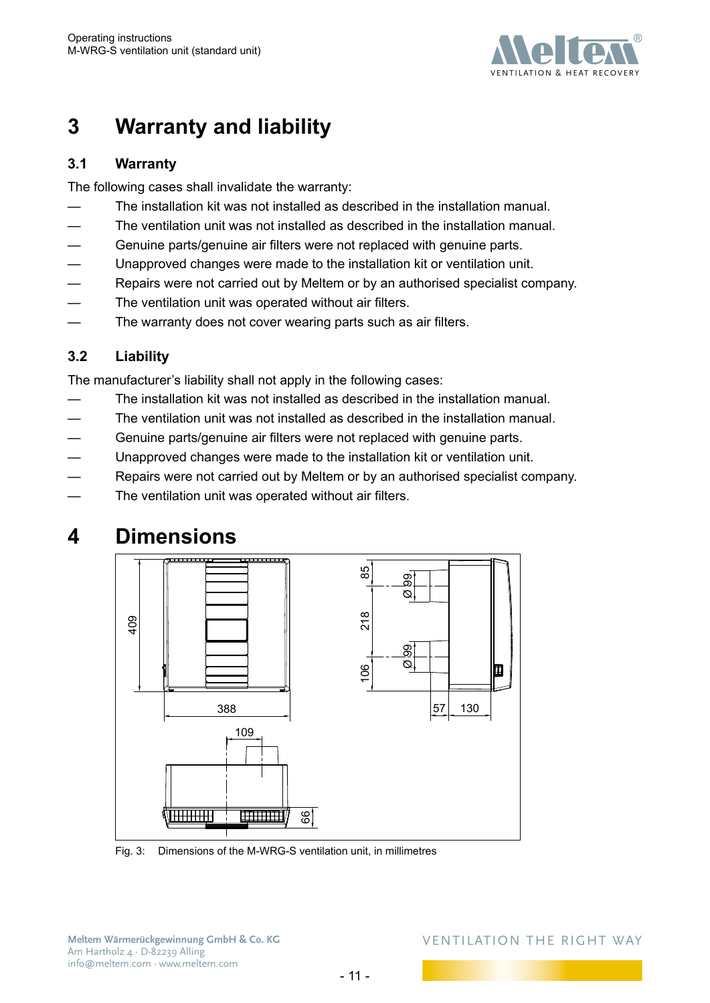

### <span id="page-10-0"></span>**3 Warranty and liability**

### **3.1 Warranty**

The following cases shall invalidate the warranty:

- The installation kit was not installed as described in the installation manual.
- The ventilation unit was not installed as described in the installation manual.
- Genuine parts/genuine air filters were not replaced with genuine parts.
- Unapproved changes were made to the installation kit or ventilation unit.
- Repairs were not carried out by Meltem or by an authorised specialist company.
- The ventilation unit was operated without air filters.
- The warranty does not cover wearing parts such as air filters.

#### **3.2 Liability**

The manufacturer's liability shall not apply in the following cases:

- The installation kit was not installed as described in the installation manual.
- The ventilation unit was not installed as described in the installation manual.
- Genuine parts/genuine air filters were not replaced with genuine parts.
- Unapproved changes were made to the installation kit or ventilation unit.
- Repairs were not carried out by Meltem or by an authorised specialist company.
- The ventilation unit was operated without air filters.



### **4 Dimensions**

<span id="page-10-1"></span>Fig. 3: Dimensions of the M-WRG-S ventilation unit, in millimetres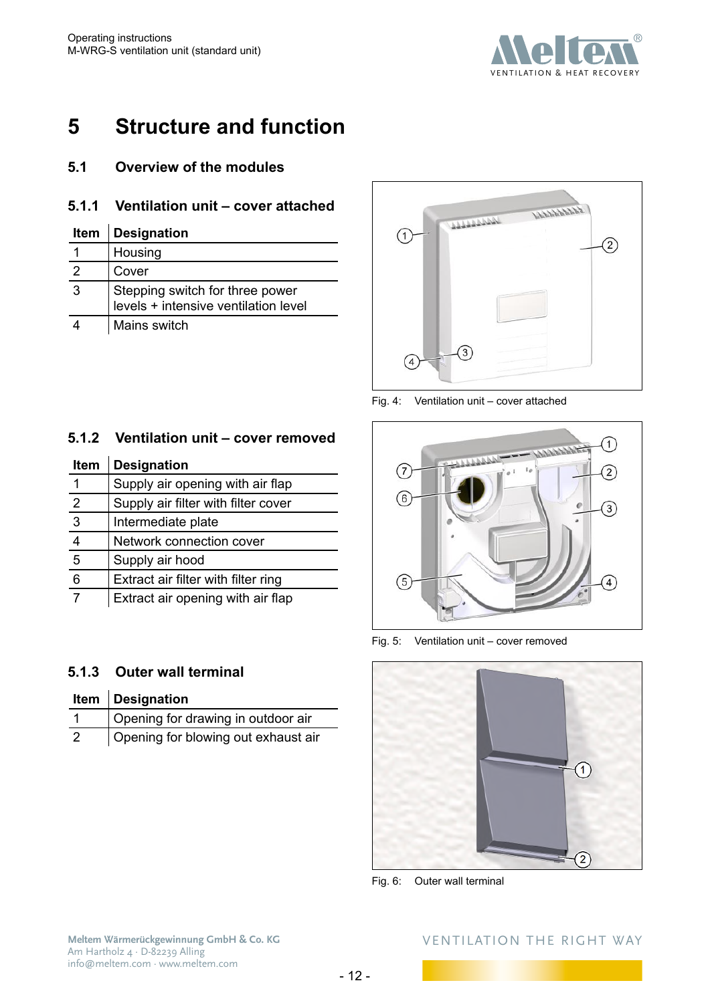

### <span id="page-11-0"></span>**5 Structure and function**

#### **5.1 Overview of the modules**

#### **5.1.1 Ventilation unit – cover attached**

| Item | <b>Designation</b>                                                      |
|------|-------------------------------------------------------------------------|
|      | Housing                                                                 |
| 2    | Cover                                                                   |
| 3    | Stepping switch for three power<br>levels + intensive ventilation level |
|      | Mains switch                                                            |



Fig. 4: Ventilation unit – cover attached



Fig. 5: Ventilation unit – cover removed



Fig. 6: Outer wall terminal

#### **5.1.2 Ventilation unit – cover removed**

| Item           | <b>Designation</b>                  |
|----------------|-------------------------------------|
| 1              | Supply air opening with air flap    |
| $\overline{2}$ | Supply air filter with filter cover |
| 3              | Intermediate plate                  |
| $\overline{4}$ | Network connection cover            |
| $\overline{5}$ | Supply air hood                     |
| 6              | Extract air filter with filter ring |
|                | Extract air opening with air flap   |

#### **5.1.3 Outer wall terminal**

| Item   Designation                  |  |  |
|-------------------------------------|--|--|
| Opening for drawing in outdoor air  |  |  |
| Opening for blowing out exhaust air |  |  |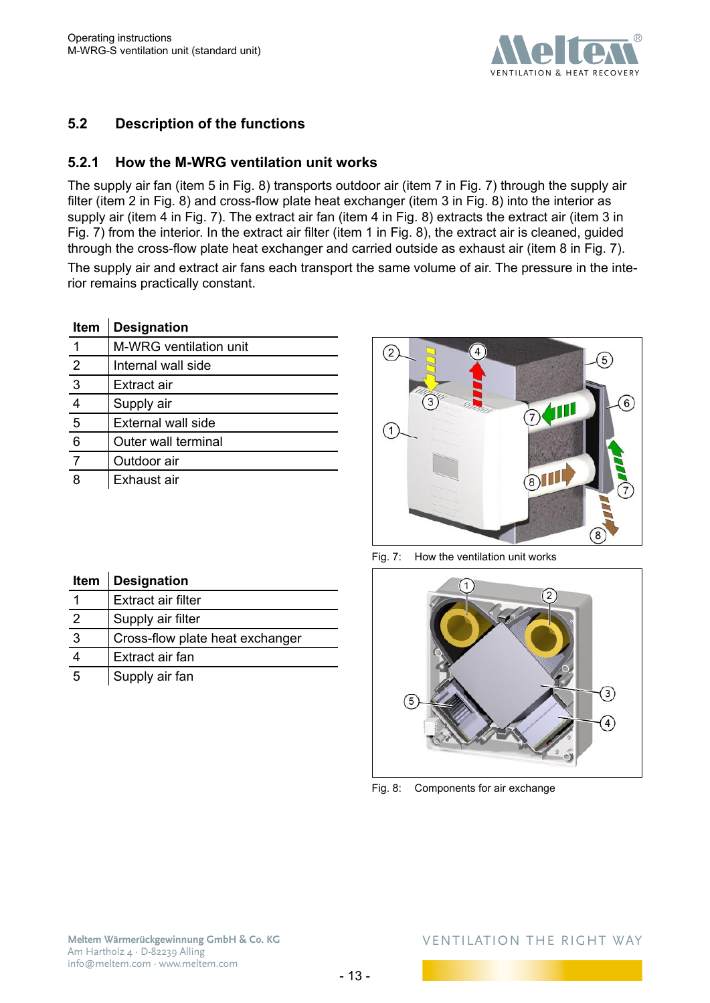

### <span id="page-12-0"></span>**5.2 Description of the functions**

#### **5.2.1 How the M-WRG ventilation unit works**

The supply air fan (item 5 in [Fig.](#page-12-1) 8) transports outdoor air (item 7 in [Fig.](#page-12-2) 7) through the supply air filter (item 2 in [Fig.](#page-12-1) 8) and cross-flow plate heat exchanger (item 3 in [Fig.](#page-12-1) 8) into the interior as supply air (item 4 in [Fig.](#page-12-1) 7). The extract air fan (item 4 in Fig. 8) extracts the extract air (item 3 in [Fig.](#page-12-2) 7) from the interior. In the extract air filter (item 1 in [Fig.](#page-12-1) 8), the extract air is cleaned, guided through the cross-flow plate heat exchanger and carried outside as exhaust air (item 8 in [Fig.](#page-12-2) 7).

The supply air and extract air fans each transport the same volume of air. The pressure in the interior remains practically constant.

| Item           | <b>Designation</b>     |
|----------------|------------------------|
|                | M-WRG ventilation unit |
| $\overline{2}$ | Internal wall side     |
| 3              | Extract air            |
| 4              | Supply air             |
| $\overline{5}$ | External wall side     |
| 6              | Outer wall terminal    |
| $\overline{7}$ | Outdoor air            |
| 8              | Exhaust air            |



Fig. 7: How the ventilation unit works

| ltem | <b>Designation</b>              |
|------|---------------------------------|
| 1    | Extract air filter              |
| 2    | Supply air filter               |
| 3    | Cross-flow plate heat exchanger |
| 4    | Extract air fan                 |
| 5    | Supply air fan                  |

<span id="page-12-2"></span><span id="page-12-1"></span>

Fig. 8: Components for air exchange

**Meltem Wärmerückgewinnung GmbH & Co. KG** Am Hartholz 4 · D-82239 Alling info@meltem.com · www.meltem.com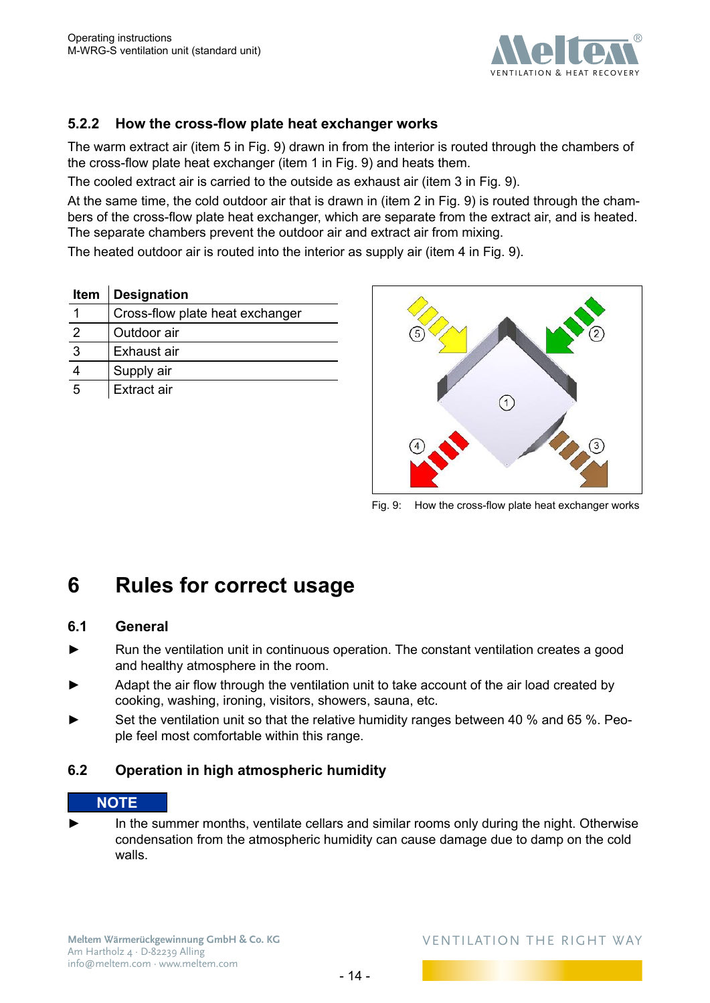

#### <span id="page-13-1"></span><span id="page-13-0"></span>**5.2.2 How the cross-flow plate heat exchanger works**

The warm extract air (item 5 in [Fig.](#page-13-2) 9) drawn in from the interior is routed through the chambers of the cross-flow plate heat exchanger (item 1 in [Fig.](#page-13-2) 9) and heats them.

The cooled extract air is carried to the outside as exhaust air (item 3 in [Fig.](#page-13-2) 9).

At the same time, the cold outdoor air that is drawn in (item 2 in [Fig.](#page-13-2) 9) is routed through the chambers of the cross-flow plate heat exchanger, which are separate from the extract air, and is heated. The separate chambers prevent the outdoor air and extract air from mixing.

The heated outdoor air is routed into the interior as supply air (item 4 in [Fig.](#page-13-2) 9).

| Item          | Designation                     |
|---------------|---------------------------------|
|               | Cross-flow plate heat exchanger |
| $\mathcal{P}$ | Outdoor air                     |
| 3             | Exhaust air                     |
|               | Supply air                      |
| 5             | Extract air                     |



<span id="page-13-2"></span>Fig. 9: How the cross-flow plate heat exchanger works

### <span id="page-13-3"></span>**6 Rules for correct usage**

#### **6.1 General**

 $\mathbf{r}$ 

- Run the ventilation unit in continuous operation. The constant ventilation creates a good and healthy atmosphere in the room.
- Adapt the air flow through the ventilation unit to take account of the air load created by cooking, washing, ironing, visitors, showers, sauna, etc.
- Set the ventilation unit so that the relative humidity ranges between 40 % and 65 %. People feel most comfortable within this range.

#### **6.2 Operation in high atmospheric humidity**

#### **NOTE**

► In the summer months, ventilate cellars and similar rooms only during the night. Otherwise condensation from the atmospheric humidity can cause damage due to damp on the cold walls.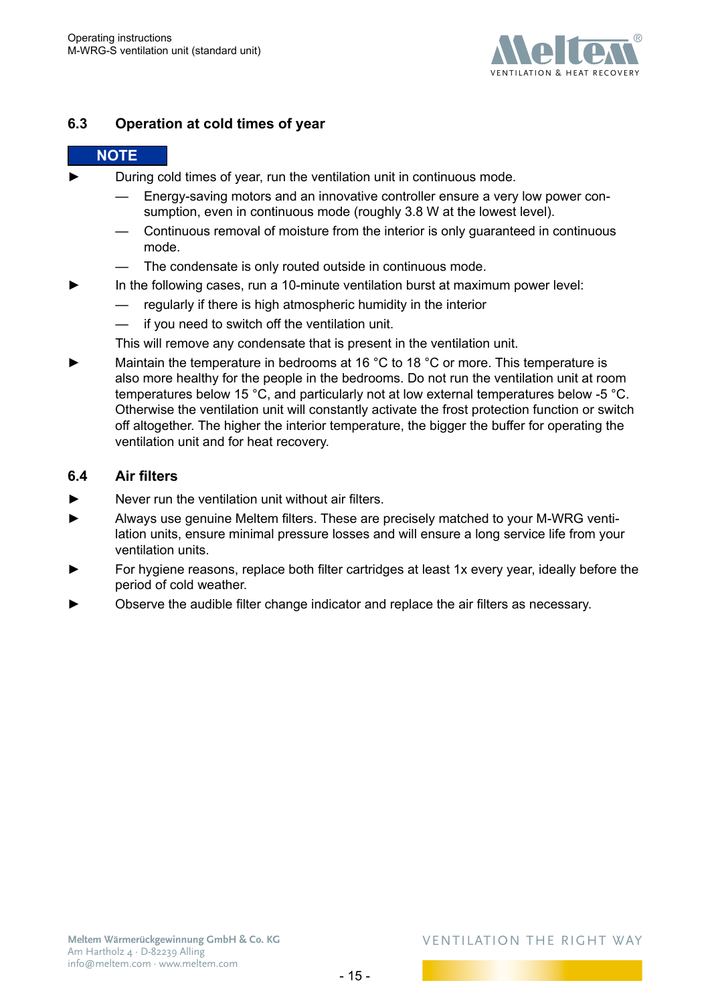

#### <span id="page-14-0"></span>**6.3 Operation at cold times of year**

#### **NOTE**

- During cold times of year, run the ventilation unit in continuous mode.
	- Energy-saving motors and an innovative controller ensure a very low power consumption, even in continuous mode (roughly 3.8 W at the lowest level).
	- Continuous removal of moisture from the interior is only guaranteed in continuous mode.
	- The condensate is only routed outside in continuous mode.
- In the following cases, run a 10-minute ventilation burst at maximum power level:
	- regularly if there is high atmospheric humidity in the interior
	- if you need to switch off the ventilation unit.
	- This will remove any condensate that is present in the ventilation unit.
- Maintain the temperature in bedrooms at 16 °C to 18 °C or more. This temperature is also more healthy for the people in the bedrooms. Do not run the ventilation unit at room temperatures below 15 °C, and particularly not at low external temperatures below -5 °C. Otherwise the ventilation unit will constantly activate the frost protection function or switch off altogether. The higher the interior temperature, the bigger the buffer for operating the ventilation unit and for heat recovery.

#### **6.4 Air filters**

- Never run the ventilation unit without air filters.
- ► Always use genuine Meltem filters. These are precisely matched to your M-WRG ventilation units, ensure minimal pressure losses and will ensure a long service life from your ventilation units.
- For hygiene reasons, replace both filter cartridges at least 1x every year, ideally before the period of cold weather.
- Observe the audible filter change indicator and replace the air filters as necessary.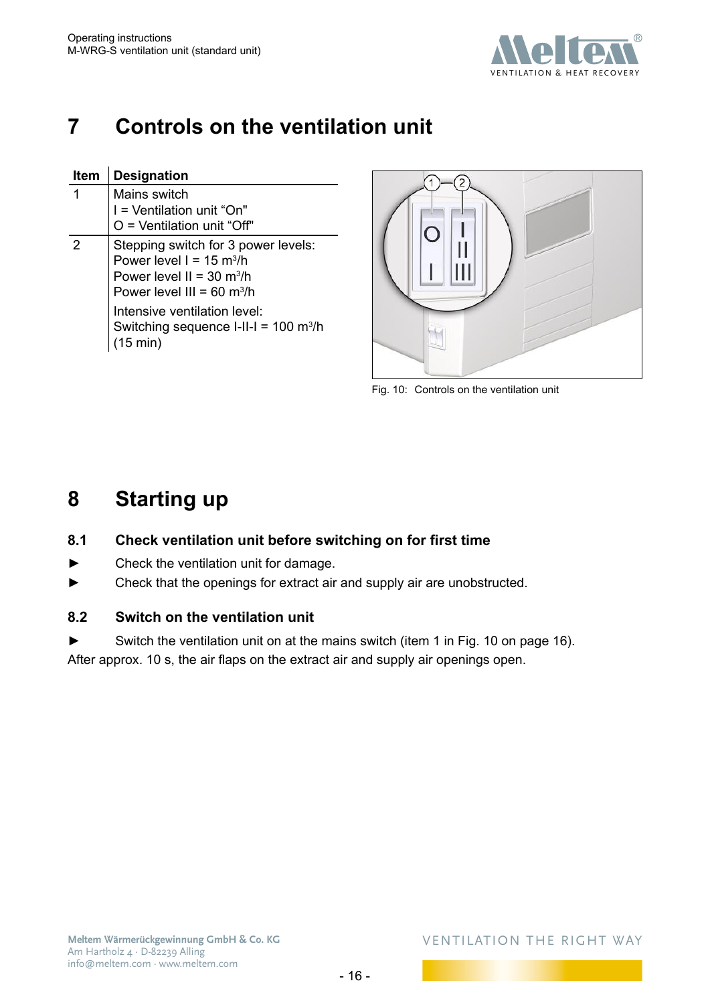

### <span id="page-15-0"></span>**7 Controls on the ventilation unit**

| <b>Item</b> | <b>Designation</b>                                                                                                                                                |
|-------------|-------------------------------------------------------------------------------------------------------------------------------------------------------------------|
|             | Mains switch<br>I = Ventilation unit "On"<br>$O =$ Ventilation unit "Off"                                                                                         |
| 2           | Stepping switch for 3 power levels:<br>Power level $I = 15$ m <sup>3</sup> /h<br>Power level $II = 30$ m <sup>3</sup> /h<br>Power level III = $60 \text{ m}^3$ /h |
|             | Intensive ventilation level:<br>Switching sequence $I-I-I = 100$ m <sup>3</sup> /h<br>$15 \text{ min}$                                                            |

<span id="page-15-1"></span>

Fig. 10: Controls on the ventilation unit

### **8 Starting up**

#### **8.1 Check ventilation unit before switching on for first time**

- Check the ventilation unit for damage.
- ► Check that the openings for extract air and supply air are unobstructed.

#### **8.2 Switch on the ventilation unit**

► Switch the ventilation unit on at the mains switch (item 1 in Fig. [10 on page](#page-15-1) 16). After approx. 10 s, the air flaps on the extract air and supply air openings open.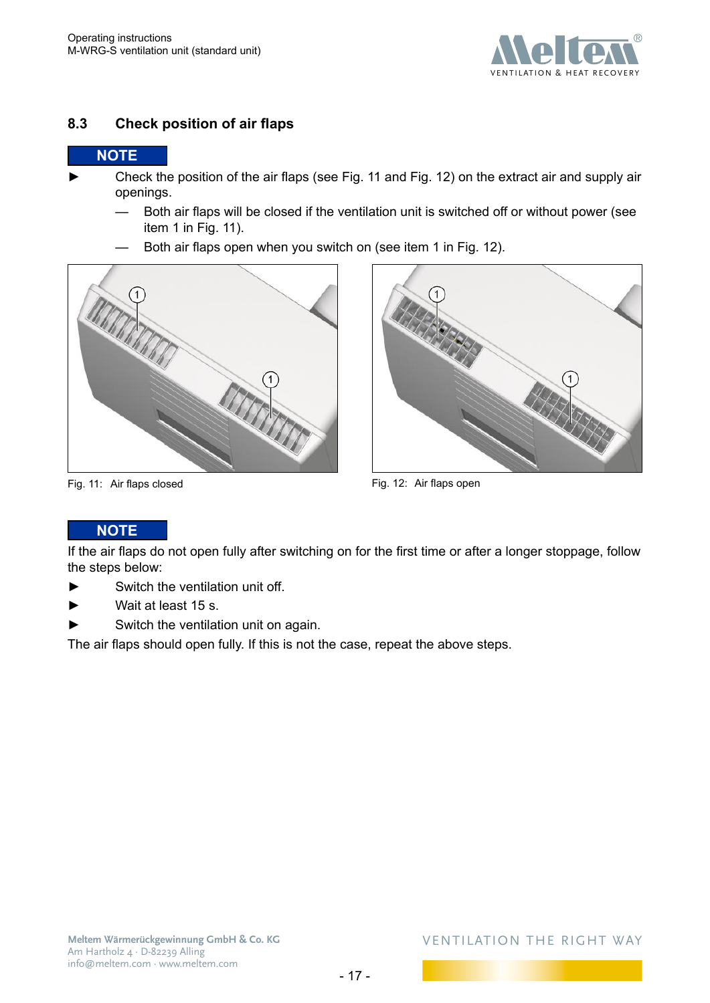

#### <span id="page-16-0"></span>**8.3 Check position of air flaps**

#### **NOTE**

- Check the position of the air flaps (see [Fig.](#page-16-2) 11 and Fig. 12) on the extract air and supply air openings.
	- Both air flaps will be closed if the ventilation unit is switched off or without power (see item 1 in [Fig.](#page-16-1) 11).
	- Both air flaps open when you switch on (see item 1 in [Fig.](#page-16-2) 12).



<span id="page-16-2"></span>

Fig. 11: Air flaps closed Fig. 12: Air flaps open

#### <span id="page-16-1"></span>**NOTE**

If the air flaps do not open fully after switching on for the first time or after a longer stoppage, follow the steps below:

- ► Switch the ventilation unit off.
- Wait at least 15 s.
- Switch the ventilation unit on again.

The air flaps should open fully. If this is not the case, repeat the above steps.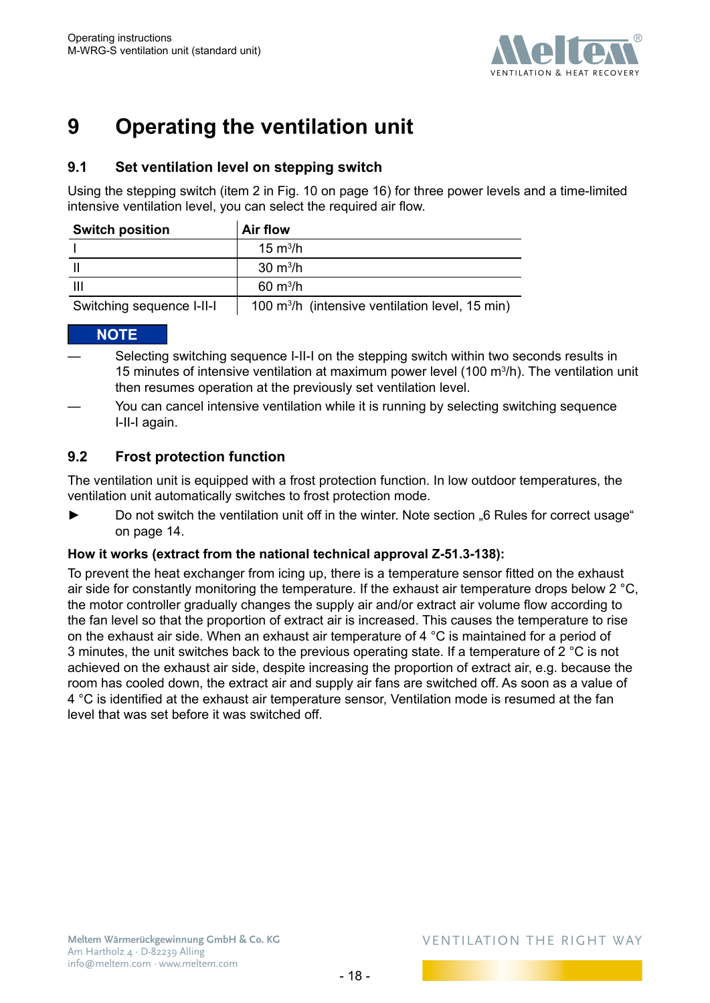

### <span id="page-17-0"></span>**9 Operating the ventilation unit**

#### **9.1 Set ventilation level on stepping switch**

Using the stepping switch (item 2 in Fig. [10 on page](#page-15-1) 16) for three power levels and a time-limited intensive ventilation level, you can select the required air flow.

| <b>Switch position</b>    | <b>Air flow</b>                                             |
|---------------------------|-------------------------------------------------------------|
|                           | $15 \text{ m}^3/h$                                          |
|                           | 30 $m^3/h$                                                  |
|                           | 60 $m^3/h$                                                  |
| Switching sequence I-II-I | 100 m <sup>3</sup> /h (intensive ventilation level, 15 min) |

#### **NOTE**

- Selecting switching sequence I-II-I on the stepping switch within two seconds results in 15 minutes of intensive ventilation at maximum power level (100 m3 /h). The ventilation unit then resumes operation at the previously set ventilation level.
- You can cancel intensive ventilation while it is running by selecting switching sequence I-II-I again.

#### **9.2 Frost protection function**

The ventilation unit is equipped with a frost protection function. In low outdoor temperatures, the ventilation unit automatically switches to frost protection mode.

► Do not switch the ventilation unit off in the winter. Note section "6 Rules for correct usage" [on page](#page-13-3) 14.

#### **How it works (extract from the national technical approval Z-51.3-138):**

To prevent the heat exchanger from icing up, there is a temperature sensor fitted on the exhaust air side for constantly monitoring the temperature. If the exhaust air temperature drops below 2 °C, the motor controller gradually changes the supply air and/or extract air volume flow according to the fan level so that the proportion of extract air is increased. This causes the temperature to rise on the exhaust air side. When an exhaust air temperature of 4 °C is maintained for a period of 3 minutes, the unit switches back to the previous operating state. If a temperature of 2 °C is not achieved on the exhaust air side, despite increasing the proportion of extract air, e.g. because the room has cooled down, the extract air and supply air fans are switched off. As soon as a value of 4 °C is identified at the exhaust air temperature sensor, Ventilation mode is resumed at the fan level that was set before it was switched off.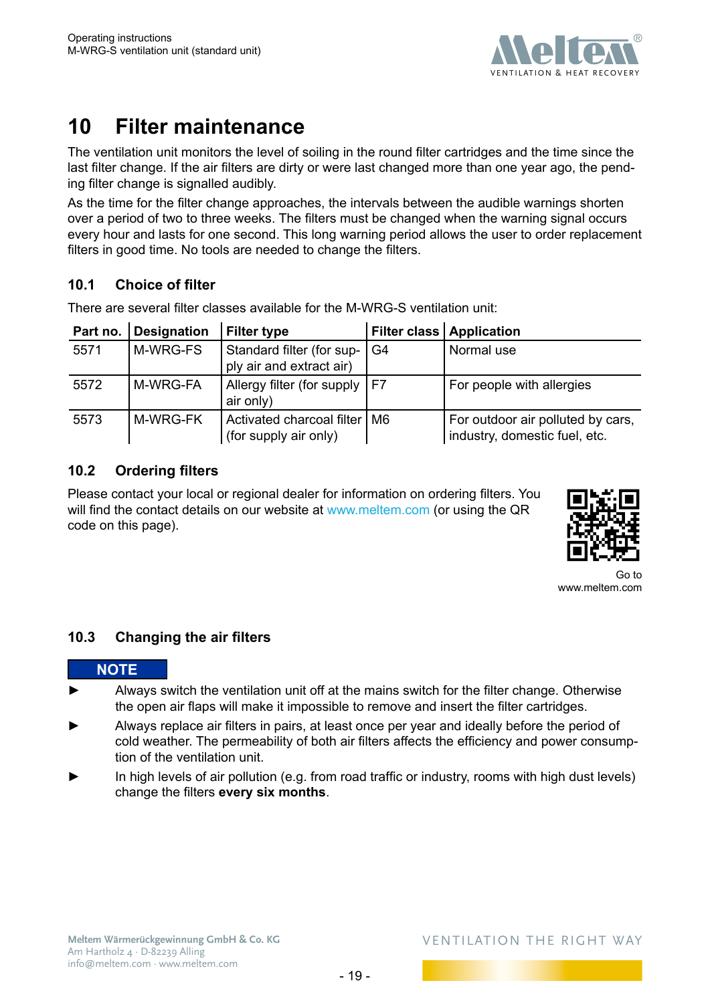

### <span id="page-18-0"></span>**10 Filter maintenance**

The ventilation unit monitors the level of soiling in the round filter cartridges and the time since the last filter change. If the air filters are dirty or were last changed more than one year ago, the pending filter change is signalled audibly.

As the time for the filter change approaches, the intervals between the audible warnings shorten over a period of two to three weeks. The filters must be changed when the warning signal occurs every hour and lasts for one second. This long warning period allows the user to order replacement filters in good time. No tools are needed to change the filters.

#### **10.1 Choice of filter**

| Part no. | <b>Designation</b> | <b>Filter type</b>                                    |                 | Filter class   Application                                         |
|----------|--------------------|-------------------------------------------------------|-----------------|--------------------------------------------------------------------|
| 5571     | M-WRG-FS           | Standard filter (for sup-<br>ply air and extract air) | IG4             | Normal use                                                         |
| 5572     | M-WRG-FA           | Allergy filter (for supply<br>air only)               | IF <sub>7</sub> | For people with allergies                                          |
| 5573     | M-WRG-FK           | Activated charcoal filter<br>(for supply air only)    | M6              | For outdoor air polluted by cars,<br>industry, domestic fuel, etc. |

There are several filter classes available for the M-WRG-S ventilation unit:

#### **10.2 Ordering filters**

Please contact your local or regional dealer for information on ordering filters. You will find the contact details on our website at [www.meltem.com](http://www.meltem.com) (or using the QR code on this page).



Go to www.meltem.com

#### **10.3 Changing the air filters**

#### <span id="page-18-1"></span>**NOTE**

- Always switch the ventilation unit off at the mains switch for the filter change. Otherwise the open air flaps will make it impossible to remove and insert the filter cartridges.
- Always replace air filters in pairs, at least once per year and ideally before the period of cold weather. The permeability of both air filters affects the efficiency and power consumption of the ventilation unit.
- In high levels of air pollution (e.g. from road traffic or industry, rooms with high dust levels) change the filters **every six months**.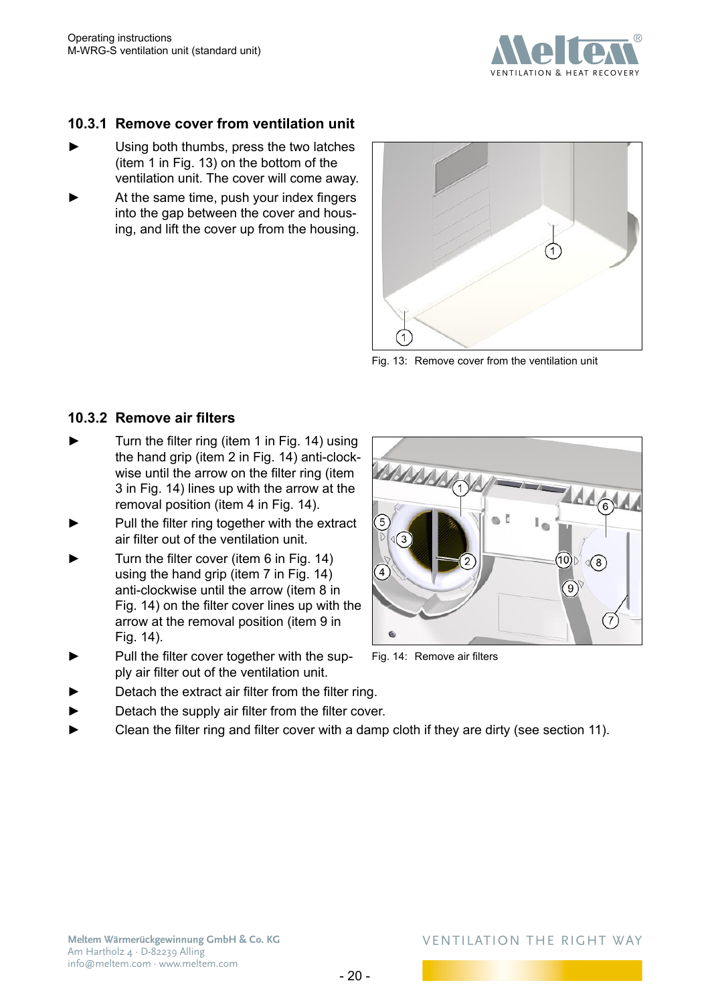

#### <span id="page-19-3"></span><span id="page-19-0"></span>**10.3.1 Remove cover from ventilation unit**

- ► Using both thumbs, press the two latches (item 1 in [Fig.](#page-19-1) 13) on the bottom of the ventilation unit. The cover will come away.
- At the same time, push your index fingers into the gap between the cover and housing, and lift the cover up from the housing.



Fig. 13: Remove cover from the ventilation unit

#### **10.3.2 Remove air filters**

- ► Turn the filter ring (item 1 in [Fig.](#page-19-2) 14) using the hand grip (item 2 in [Fig.](#page-19-2) 14) anti-clockwise until the arrow on the filter ring (item 3 in [Fig.](#page-19-2) 14) lines up with the arrow at the removal position (item 4 in [Fig.](#page-19-2) 14).
- Pull the filter ring together with the extract air filter out of the ventilation unit.
- Turn the filter cover (item 6 in [Fig.](#page-19-2) 14) using the hand grip (item 7 in [Fig.](#page-19-2) 14) anti-clockwise until the arrow (item 8 in [Fig.](#page-19-2) 14) on the filter cover lines up with the arrow at the removal position (item 9 in [Fig.](#page-19-2) 14).
- Pull the filter cover together with the supply air filter out of the ventilation unit.
- Detach the extract air filter from the filter ring.
- Detach the supply air filter from the filter cover.
- Clean the filter ring and filter cover with a damp cloth if they are dirty (see section [11\)](#page-21-1).

<span id="page-19-1"></span>

<span id="page-19-2"></span>Fig. 14: Remove air filters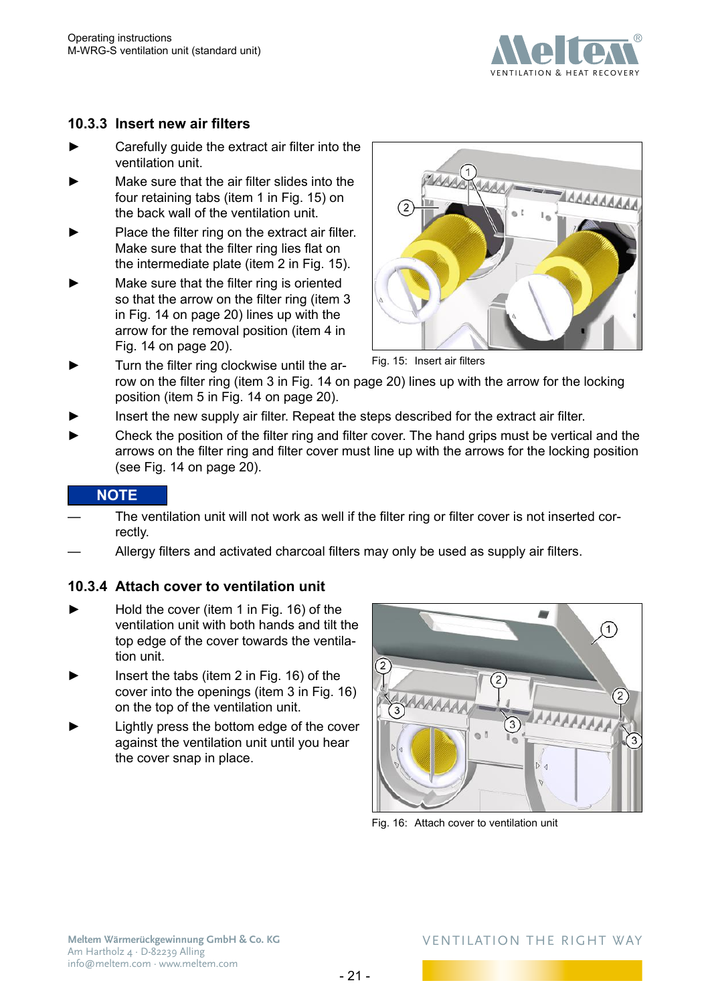

#### <span id="page-20-0"></span>**10.3.3 Insert new air filters**

- ► Carefully guide the extract air filter into the ventilation unit.
- Make sure that the air filter slides into the four retaining tabs (item 1 in [Fig.](#page-20-1) 15) on the back wall of the ventilation unit.
- Place the filter ring on the extract air filter. Make sure that the filter ring lies flat on the intermediate plate (item 2 in [Fig.](#page-20-1) 15).
- Make sure that the filter ring is oriented so that the arrow on the filter ring (item 3 in Fig. [14 on page](#page-19-2) 20) lines up with the arrow for the removal position (item 4 in Fig. [14 on page](#page-19-2) 20).

<span id="page-20-1"></span>

- Turn the filter ring clockwise until the arrow on the filter ring (item 3 in Fig. 14 on [page](#page-19-2) 20) lines up with the arrow for the locking position (item 5 in Fig. [14 on page](#page-19-2) 20). Fig. 15: Insert air filters
- Insert the new supply air filter. Repeat the steps described for the extract air filter.
- Check the position of the filter ring and filter cover. The hand grips must be vertical and the arrows on the filter ring and filter cover must line up with the arrows for the locking position (see Fig. [14 on page](#page-19-2) 20).

#### **NOTE**

- The ventilation unit will not work as well if the filter ring or filter cover is not inserted correctly.
- Allergy filters and activated charcoal filters may only be used as supply air filters.

#### **10.3.4 Attach cover to ventilation unit**

- Hold the cover (item 1 in [Fig.](#page-20-2) 16) of the ventilation unit with both hands and tilt the top edge of the cover towards the ventilation unit.
- Insert the tabs (item 2 in [Fig.](#page-20-2) 16) of the cover into the openings (item 3 in [Fig.](#page-20-2) 16) on the top of the ventilation unit.
- Lightly press the bottom edge of the cover against the ventilation unit until you hear the cover snap in place.

<span id="page-20-2"></span>

Fig. 16: Attach cover to ventilation unit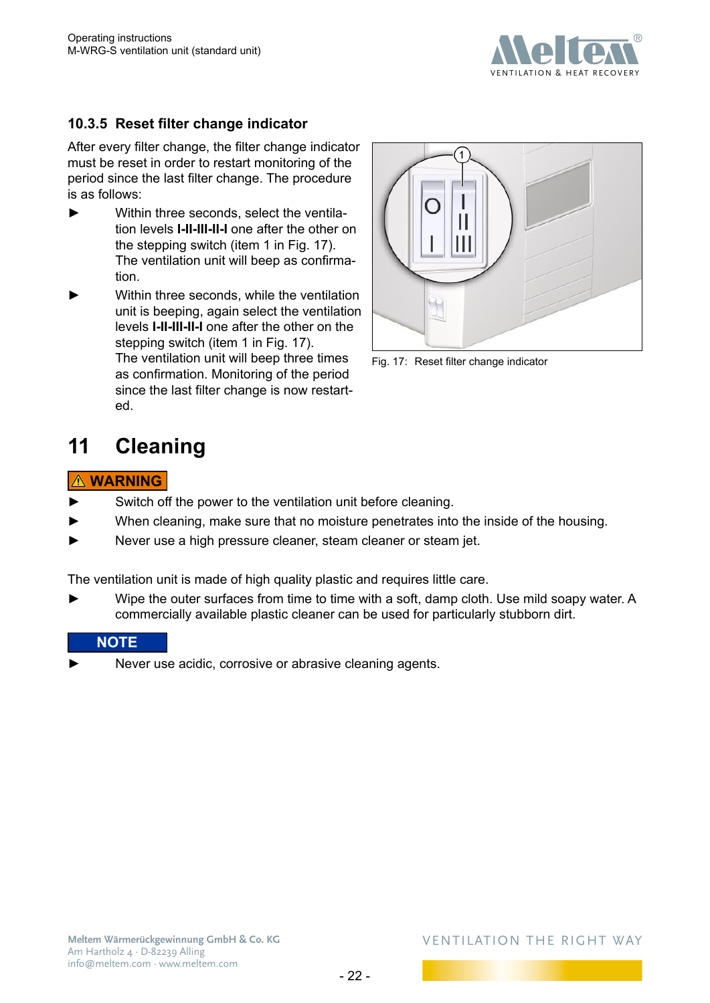

#### <span id="page-21-0"></span>**10.3.5 Reset filter change indicator**

After every filter change, the filter change indicator must be reset in order to restart monitoring of the period since the last filter change. The procedure is as follows:

- ► Within three seconds, select the ventilation levels **I-II-III-II-I** one after the other on the stepping switch (item 1 in [Fig.](#page-21-2) 17). The ventilation unit will beep as confirmation.
- Within three seconds, while the ventilation unit is beeping, again select the ventilation levels **I-II-III-II-I** one after the other on the stepping switch (item 1 in [Fig.](#page-21-2) 17). The ventilation unit will beep three times as confirmation. Monitoring of the period since the last filter change is now restarted.

<span id="page-21-2"></span>

Fig. 17: Reset filter change indicator

### <span id="page-21-1"></span>**11 Cleaning**

#### **WARNING**

- Switch off the power to the ventilation unit before cleaning.
- When cleaning, make sure that no moisture penetrates into the inside of the housing.
- Never use a high pressure cleaner, steam cleaner or steam jet.

The ventilation unit is made of high quality plastic and requires little care.

► Wipe the outer surfaces from time to time with a soft, damp cloth. Use mild soapy water. A commercially available plastic cleaner can be used for particularly stubborn dirt.

#### **NOTE**

Never use acidic, corrosive or abrasive cleaning agents.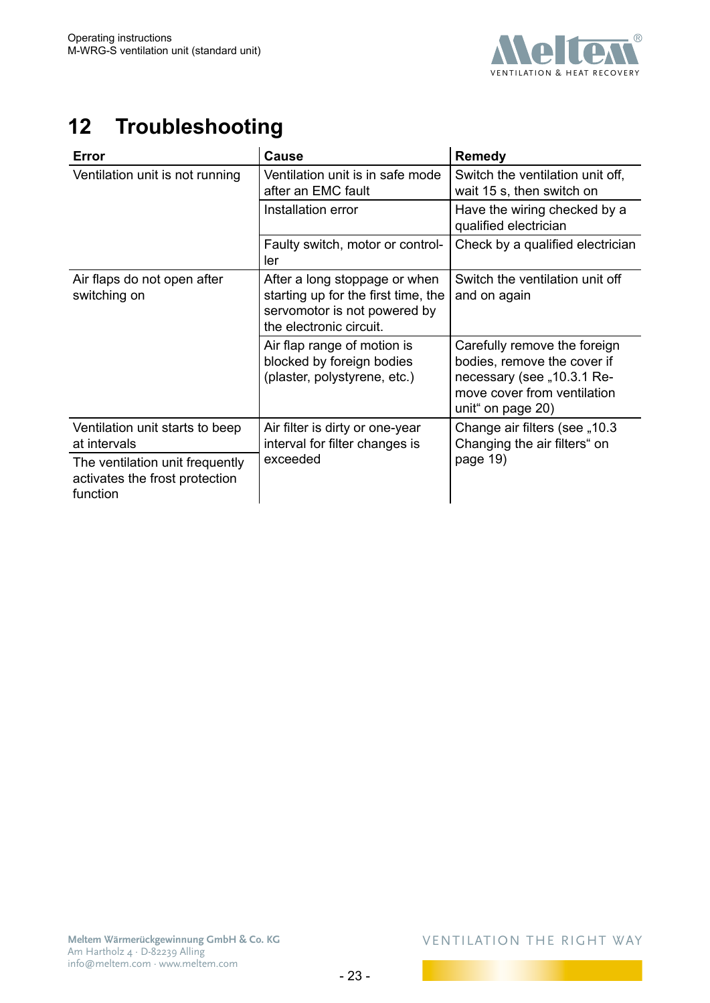

## <span id="page-22-0"></span>**12 Troubleshooting**

| Error                                                                         | Cause                                                                                                                           | Remedy                                                                                                                                        |  |
|-------------------------------------------------------------------------------|---------------------------------------------------------------------------------------------------------------------------------|-----------------------------------------------------------------------------------------------------------------------------------------------|--|
| Ventilation unit is not running                                               | Ventilation unit is in safe mode<br>after an EMC fault                                                                          | Switch the ventilation unit off,<br>wait 15 s, then switch on                                                                                 |  |
|                                                                               | Installation error                                                                                                              | Have the wiring checked by a<br>qualified electrician                                                                                         |  |
|                                                                               | Faulty switch, motor or control-<br>ler                                                                                         | Check by a qualified electrician                                                                                                              |  |
| Air flaps do not open after<br>switching on                                   | After a long stoppage or when<br>starting up for the first time, the<br>servomotor is not powered by<br>the electronic circuit. | Switch the ventilation unit off<br>and on again                                                                                               |  |
|                                                                               | Air flap range of motion is<br>blocked by foreign bodies<br>(plaster, polystyrene, etc.)                                        | Carefully remove the foreign<br>bodies, remove the cover if<br>necessary (see "10.3.1 Re-<br>move cover from ventilation<br>unit" on page 20) |  |
| Ventilation unit starts to beep<br>at intervals                               | Air filter is dirty or one-year<br>interval for filter changes is                                                               | Change air filters (see "10.3<br>Changing the air filters" on                                                                                 |  |
| The ventilation unit frequently<br>activates the frost protection<br>function | exceeded                                                                                                                        | page 19)                                                                                                                                      |  |